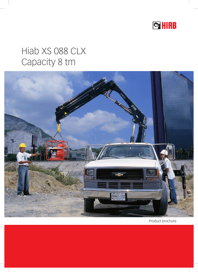

# Hiab XS 088 CLX Capacity 8 tm



Product brochure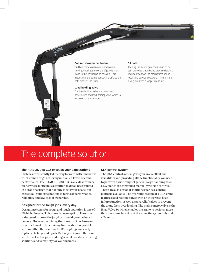

**Column close to centreline**

On Hiab cranes with a rack-and-pinion slewing housing the centre of gravity is as close to the centreline as possible. This means that the same outreach is offered on both sides of the truck.

#### **Load-holding valve**

**XS BBB CLX** 

The load-holding valve is a combined hose-failure and load-holding valve which is mounted on the cylinder.

#### **Oil bath**

Keeping the slewing mechanism in an oil bath provides smooth and precise slewing. Reduced wear on the mechanism keeps repair and service costs to a minimum and also guarantees a longer crane life.

# The complete solution

# **The HIAB XS 088 CLX exceeds your expectations**

Hiab has consistently led the way forward with innovative truck crane design achieving unrivalled levels of crane performance. The HIAB XS 088 CLX is an extraordinary crane where meticulous attention to detail has resulted in a crane package that not only meets your needs, but exceeds all your expectations in terms of performance, reliability and low cost of ownership.

# **Designed for the tough jobs, every day**

Designing cranes for rough and tough operation is one of Hiab's hallmarks. This crane is no exception. The crane is designed to be on the job, day in and day out, where it belongs. However, servicing the crane can't be foreseen. In order to make the servicing time as short as possible we have fitted the crane with JIC couplings and easily replaceable large slide pads. Before you know it the crane will be back at the jobsite, doing what it does best, creating solutions and versatility for your business.

# **CLX control system**

The CLX control system gives you an excellent and versatile crane, providing all the functionality you need to perform a wide range of general cargo handling tasks. CLX cranes are controlled manually via side controls. There are also optional solutions such as a control platform available. The hydraulic system of a CLX crane features load holding valves with an integrated hose failure function, as well as port relief valves to prevent the crane from over loading. The main control valve is the Hiab Valve 80 which enables the crane to perform more than one crane function at the same time, smoothly and efficiently.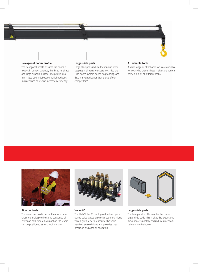

# **Hexagonal boom profile**

The hexagonal profile ensures the boom is always in perfect balance, thanks to its shape and large support surface. The profile also minimizes boom deflection, which reduces maintenance costs and increases efficiency.

# **Large slide pads**

Large slide pads reduce friction and wear keeping, maintenance costs low. Also the Hiab boom system needs no greasing, and thus it is kept cleaner than those of our competitors'.

#### **Attachable tools**

A wide range of attachable tools are available for your Hiab crane. These make sure you can carry out a lot of different tasks.



The levers are positioned at the crane base. Cross-controls give the same sequence of levers on both sides. As an option the levers can be positioned at a control platform.

**Side controls**



#### **Valve 80**

The Hiab Valve 80 is a top-of-the-line opencentre valve based on well-proven technique which gives superb reliability. The valve handles large oil flows and provides great precision and ease of operation.



#### **Large slide pads**

The hexagonal profile enables the use of larger slide pads. This makes the extensions move more smoothly and reduces mechanical wear on the boom.